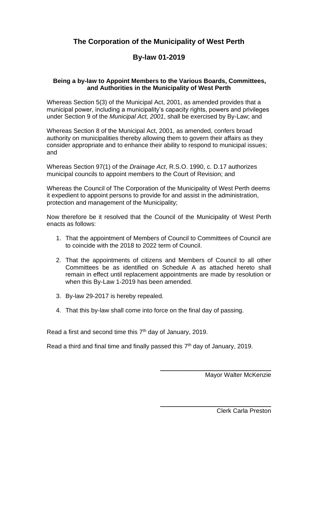# **The Corporation of the Municipality of West Perth**

### **By-law 01-2019**

#### **Being a by-law to Appoint Members to the Various Boards, Committees, and Authorities in the Municipality of West Perth**

Whereas Section 5(3) of the Municipal Act, 2001, as amended provides that a municipal power, including a municipality's capacity rights, powers and privileges under Section 9 of the *Municipal Act, 2001*, shall be exercised by By-Law; and

Whereas Section 8 of the Municipal Act, 2001, as amended, confers broad authority on municipalities thereby allowing them to govern their affairs as they consider appropriate and to enhance their ability to respond to municipal issues; and

Whereas Section 97(1) of the *Drainage Act*, R.S.O. 1990, c. D.17 authorizes municipal councils to appoint members to the Court of Revision; and

Whereas the Council of The Corporation of the Municipality of West Perth deems it expedient to appoint persons to provide for and assist in the administration, protection and management of the Municipality;

Now therefore be it resolved that the Council of the Municipality of West Perth enacts as follows:

- 1. That the appointment of Members of Council to Committees of Council are to coincide with the 2018 to 2022 term of Council.
- 2. That the appointments of citizens and Members of Council to all other Committees be as identified on Schedule A as attached hereto shall remain in effect until replacement appointments are made by resolution or when this By-Law 1-2019 has been amended.
- 3. By-law 29-2017 is hereby repealed.
- 4. That this by-law shall come into force on the final day of passing.

Read a first and second time this  $7<sup>th</sup>$  day of January, 2019.

Read a third and final time and finally passed this  $7<sup>th</sup>$  day of January, 2019.

Mayor Walter McKenzie

\_\_\_\_\_\_\_\_\_\_\_\_\_\_\_\_\_\_\_\_\_\_\_\_\_\_\_\_\_\_\_\_

\_\_\_\_\_\_\_\_\_\_\_\_\_\_\_\_\_\_\_\_\_\_\_\_\_\_\_\_\_\_\_\_

Clerk Carla Preston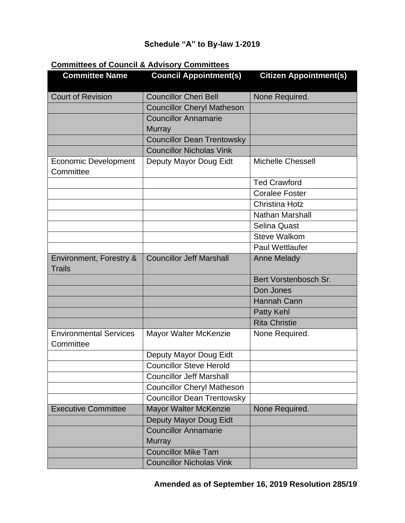# **Schedule "A" to By-law 1-2019**

#### **Committees of Council & Advisory Committees**

| <b>Committee Name</b>                      | <b>Council Appointment(s)</b>     | <b>Citizen Appointment(s)</b> |
|--------------------------------------------|-----------------------------------|-------------------------------|
| <b>Court of Revision</b>                   | <b>Councillor Cheri Bell</b>      | None Required.                |
|                                            | <b>Councillor Cheryl Matheson</b> |                               |
|                                            | <b>Councillor Annamarie</b>       |                               |
|                                            | <b>Murray</b>                     |                               |
|                                            | <b>Councillor Dean Trentowsky</b> |                               |
|                                            | <b>Councillor Nicholas Vink</b>   |                               |
| <b>Economic Development</b><br>Committee   | Deputy Mayor Doug Eidt            | <b>Michelle Chessell</b>      |
|                                            |                                   | <b>Ted Crawford</b>           |
|                                            |                                   | <b>Coralee Foster</b>         |
|                                            |                                   | <b>Christina Hotz</b>         |
|                                            |                                   | <b>Nathan Marshall</b>        |
|                                            |                                   | <b>Selina Quast</b>           |
|                                            |                                   | <b>Steve Walkom</b>           |
|                                            |                                   | <b>Paul Wettlaufer</b>        |
| Environment, Forestry &<br><b>Trails</b>   | <b>Councillor Jeff Marshall</b>   | <b>Anne Melady</b>            |
|                                            |                                   | Bert Vorstenbosch Sr.         |
|                                            |                                   | Don Jones                     |
|                                            |                                   | <b>Hannah Cann</b>            |
|                                            |                                   | <b>Patty Kehl</b>             |
|                                            |                                   | <b>Rita Christie</b>          |
| <b>Environmental Services</b><br>Committee | Mayor Walter McKenzie             | None Required.                |
|                                            | Deputy Mayor Doug Eidt            |                               |
|                                            | <b>Councillor Steve Herold</b>    |                               |
|                                            | <b>Councillor Jeff Marshall</b>   |                               |
|                                            | <b>Councillor Cheryl Matheson</b> |                               |
|                                            | <b>Councillor Dean Trentowsky</b> |                               |
| <b>Executive Committee</b>                 | Mayor Walter McKenzie             | None Required.                |
|                                            | Deputy Mayor Doug Eidt            |                               |
|                                            | <b>Councillor Annamarie</b>       |                               |
|                                            | <b>Murray</b>                     |                               |
|                                            | <b>Councillor Mike Tam</b>        |                               |
|                                            | <b>Councillor Nicholas Vink</b>   |                               |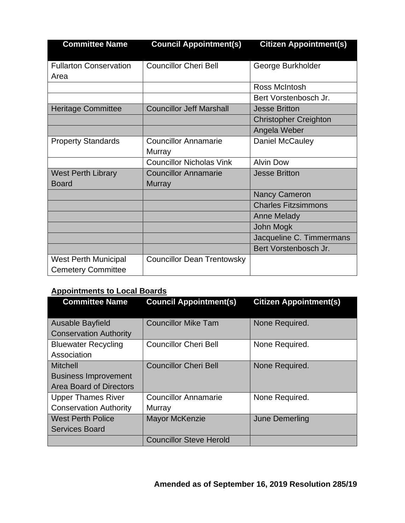| <b>Committee Name</b>                                    | <b>Council Appointment(s)</b>     | <b>Citizen Appointment(s)</b> |
|----------------------------------------------------------|-----------------------------------|-------------------------------|
| <b>Fullarton Conservation</b><br>Area                    | <b>Councillor Cheri Bell</b>      | George Burkholder             |
|                                                          |                                   | Ross McIntosh                 |
|                                                          |                                   | Bert Vorstenbosch Jr.         |
| <b>Heritage Committee</b>                                | <b>Councillor Jeff Marshall</b>   | <b>Jesse Britton</b>          |
|                                                          |                                   | <b>Christopher Creighton</b>  |
|                                                          |                                   | Angela Weber                  |
| <b>Property Standards</b>                                | <b>Councillor Annamarie</b>       | Daniel McCauley               |
|                                                          | Murray                            |                               |
|                                                          | <b>Councillor Nicholas Vink</b>   | <b>Alvin Dow</b>              |
| <b>West Perth Library</b>                                | <b>Councillor Annamarie</b>       | <b>Jesse Britton</b>          |
| <b>Board</b>                                             | <b>Murray</b>                     |                               |
|                                                          |                                   | <b>Nancy Cameron</b>          |
|                                                          |                                   | <b>Charles Fitzsimmons</b>    |
|                                                          |                                   | <b>Anne Melady</b>            |
|                                                          |                                   | John Mogk                     |
|                                                          |                                   | Jacqueline C. Timmermans      |
|                                                          |                                   | Bert Vorstenbosch Jr.         |
| <b>West Perth Municipal</b><br><b>Cemetery Committee</b> | <b>Councillor Dean Trentowsky</b> |                               |

# **Appointments to Local Boards**

| <b>Committee Name</b>                                                            | <b>Council Appointment(s)</b>         | <b>Citizen Appointment(s)</b> |
|----------------------------------------------------------------------------------|---------------------------------------|-------------------------------|
| <b>Ausable Bayfield</b><br><b>Conservation Authority</b>                         | <b>Councillor Mike Tam</b>            | None Required.                |
| <b>Bluewater Recycling</b><br>Association                                        | <b>Councillor Cheri Bell</b>          | None Required.                |
| <b>Mitchell</b><br><b>Business Improvement</b><br><b>Area Board of Directors</b> | <b>Councillor Cheri Bell</b>          | None Required.                |
| <b>Upper Thames River</b><br><b>Conservation Authority</b>                       | <b>Councillor Annamarie</b><br>Murray | None Required.                |
| <b>West Perth Police</b><br><b>Services Board</b>                                | <b>Mayor McKenzie</b>                 | June Demerling                |
|                                                                                  | <b>Councillor Steve Herold</b>        |                               |